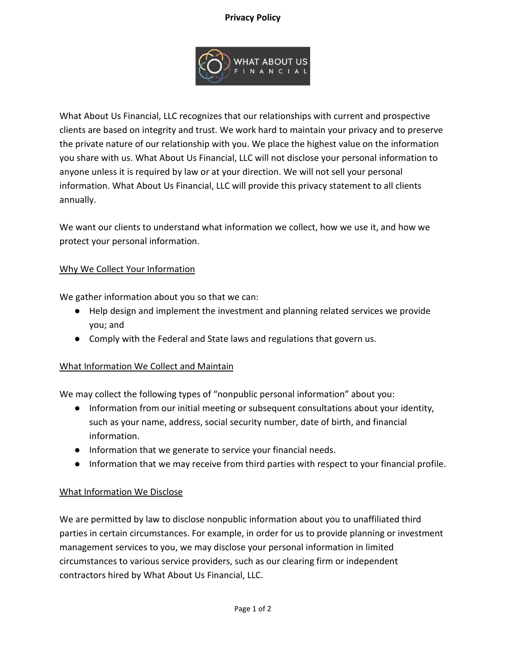## **Privacy Policy**



What About Us Financial, LLC recognizes that our relationships with current and prospective clients are based on integrity and trust. We work hard to maintain your privacy and to preserve the private nature of our relationship with you. We place the highest value on the information you share with us. What About Us Financial, LLC will not disclose your personal information to anyone unless it is required by law or at your direction. We will not sell your personal information. What About Us Financial, LLC will provide this privacy statement to all clients annually.

We want our clients to understand what information we collect, how we use it, and how we protect your personal information.

#### Why We Collect Your Information

We gather information about you so that we can:

- Help design and implement the investment and planning related services we provide you; and
- Comply with the Federal and State laws and regulations that govern us.

#### What Information We Collect and Maintain

We may collect the following types of "nonpublic personal information" about you:

- Information from our initial meeting or subsequent consultations about your identity, such as your name, address, social security number, date of birth, and financial information.
- Information that we generate to service your financial needs.
- Information that we may receive from third parties with respect to your financial profile.

#### What Information We Disclose

We are permitted by law to disclose nonpublic information about you to unaffiliated third parties in certain circumstances. For example, in order for us to provide planning or investment management services to you, we may disclose your personal information in limited circumstances to various service providers, such as our clearing firm or independent contractors hired by What About Us Financial, LLC.